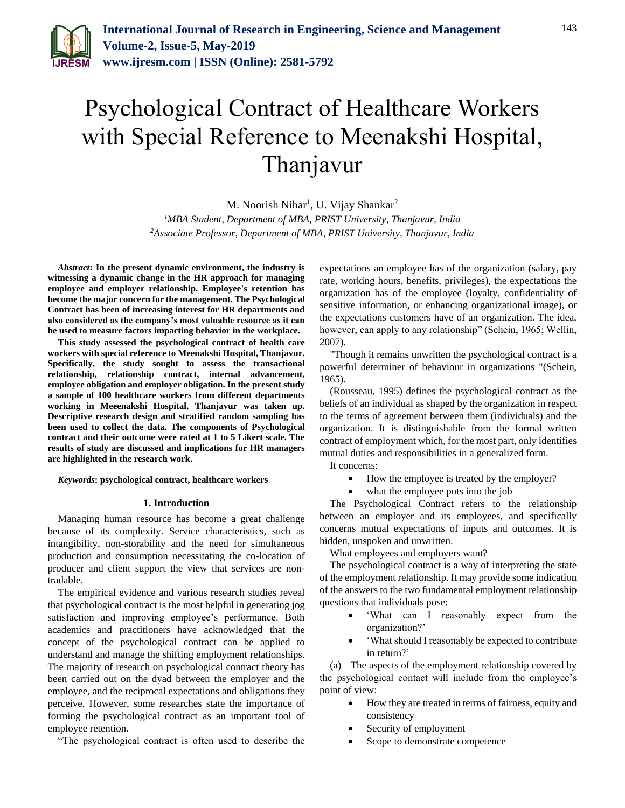

# Psychological Contract of Healthcare Workers with Special Reference to Meenakshi Hospital, Thanjavur

M. Noorish Nihar<sup>1</sup>, U. Vijay Shankar<sup>2</sup>

*<sup>1</sup>MBA Student, Department of MBA, PRIST University, Thanjavur, India 2Associate Professor, Department of MBA, PRIST University, Thanjavur, India*

*Abstract***: In the present dynamic environment, the industry is witnessing a dynamic change in the HR approach for managing employee and employer relationship. Employee's retention has become the major concern for the management. The Psychological Contract has been of increasing interest for HR departments and also considered as the company's most valuable resource as it can be used to measure factors impacting behavior in the workplace.** 

**This study assessed the psychological contract of health care workers with special reference to Meenakshi Hospital, Thanjavur. Specifically, the study sought to assess the transactional relationship, relationship contract, internal advancement, employee obligation and employer obligation. In the present study a sample of 100 healthcare workers from different departments working in Meeenakshi Hospital, Thanjavur was taken up. Descriptive research design and stratified random sampling has been used to collect the data. The components of Psychological contract and their outcome were rated at 1 to 5 Likert scale. The results of study are discussed and implications for HR managers are highlighted in the research work.**

#### *Keywords***: psychological contract, healthcare workers**

#### **1. Introduction**

Managing human resource has become a great challenge because of its complexity. Service characteristics, such as intangibility, non-storability and the need for simultaneous production and consumption necessitating the co-location of producer and client support the view that services are nontradable.

The empirical evidence and various research studies reveal that psychological contract is the most helpful in generating jog satisfaction and improving employee's performance. Both academics and practitioners have acknowledged that the concept of the psychological contract can be applied to understand and manage the shifting employment relationships. The majority of research on psychological contract theory has been carried out on the dyad between the employer and the employee, and the reciprocal expectations and obligations they perceive. However, some researches state the importance of forming the psychological contract as an important tool of employee retention.

"The psychological contract is often used to describe the

expectations an employee has of the organization (salary, pay rate, working hours, benefits, privileges), the expectations the organization has of the employee (loyalty, confidentiality of sensitive information, or enhancing organizational image), or the expectations customers have of an organization. The idea, however, can apply to any relationship" (Schein, 1965; Wellin, 2007).

"Though it remains unwritten the psychological contract is a powerful determiner of behaviour in organizations "(Schein, 1965).

(Rousseau, 1995) defines the psychological contract as the beliefs of an individual as shaped by the organization in respect to the terms of agreement between them (individuals) and the organization. It is distinguishable from the formal written contract of employment which, for the most part, only identifies mutual duties and responsibilities in a generalized form.

It concerns:

- How the employee is treated by the employer?
- what the employee puts into the job

The Psychological Contract refers to the relationship between an employer and its employees, and specifically concerns mutual expectations of inputs and outcomes. It is hidden, unspoken and unwritten.

What employees and employers want?

The psychological contract is a way of interpreting the state of the employment relationship. It may provide some indication of the answers to the two fundamental employment relationship questions that individuals pose:

- 'What can I reasonably expect from the organization?'
- 'What should I reasonably be expected to contribute in return?'

(a) The aspects of the employment relationship covered by the psychological contact will include from the employee's point of view:

- How they are treated in terms of fairness, equity and consistency
- Security of employment
- Scope to demonstrate competence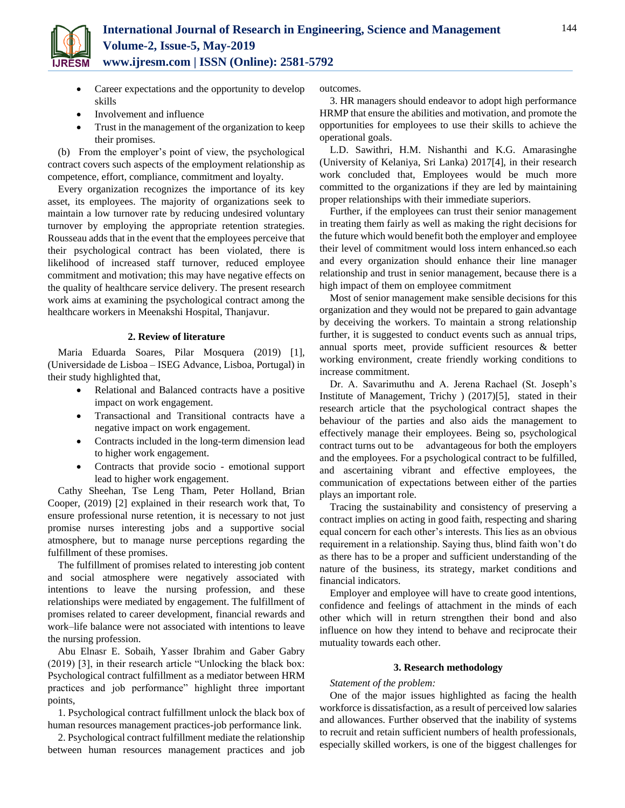

- Career expectations and the opportunity to develop skills
- Involvement and influence
- Trust in the management of the organization to keep their promises.

(b) From the employer's point of view, the psychological contract covers such aspects of the employment relationship as competence, effort, compliance, commitment and loyalty.

Every organization recognizes the importance of its key asset, its employees. The majority of organizations seek to maintain a low turnover rate by reducing undesired voluntary turnover by employing the appropriate retention strategies. Rousseau adds that in the event that the employees perceive that their psychological contract has been violated, there is likelihood of increased staff turnover, reduced employee commitment and motivation; this may have negative effects on the quality of healthcare service delivery. The present research work aims at examining the psychological contract among the healthcare workers in Meenakshi Hospital, Thanjavur.

### **2. Review of literature**

Maria Eduarda Soares, Pilar Mosquera (2019) [1], (Universidade de Lisboa – ISEG Advance, Lisboa, Portugal) in their study highlighted that,

- Relational and Balanced contracts have a positive impact on work engagement.
- Transactional and Transitional contracts have a negative impact on work engagement.
- Contracts included in the long-term dimension lead to higher work engagement.
- Contracts that provide socio emotional support lead to higher work engagement.

Cathy Sheehan, Tse Leng Tham, Peter Holland, Brian Cooper, (2019) [2] explained in their research work that, To ensure professional nurse retention, it is necessary to not just promise nurses interesting jobs and a supportive social atmosphere, but to manage nurse perceptions regarding the fulfillment of these promises.

The fulfillment of promises related to interesting job content and social atmosphere were negatively associated with intentions to leave the nursing profession, and these relationships were mediated by engagement. The fulfillment of promises related to career development, financial rewards and work–life balance were not associated with intentions to leave the nursing profession.

Abu Elnasr E. Sobaih, Yasser Ibrahim and Gaber Gabry (2019) [3], in their research article "Unlocking the black box: Psychological contract fulfillment as a mediator between HRM practices and job performance" highlight three important points,

1. Psychological contract fulfillment unlock the black box of human resources management practices-job performance link.

2. Psychological contract fulfillment mediate the relationship between human resources management practices and job outcomes.

3. HR managers should endeavor to adopt high performance HRMP that ensure the abilities and motivation, and promote the opportunities for employees to use their skills to achieve the operational goals.

L.D. Sawithri, H.M. Nishanthi and K.G. Amarasinghe (University of Kelaniya, Sri Lanka) 2017[4], in their research work concluded that, Employees would be much more committed to the organizations if they are led by maintaining proper relationships with their immediate superiors.

Further, if the employees can trust their senior management in treating them fairly as well as making the right decisions for the future which would benefit both the employer and employee their level of commitment would loss intern enhanced.so each and every organization should enhance their line manager relationship and trust in senior management, because there is a high impact of them on employee commitment

Most of senior management make sensible decisions for this organization and they would not be prepared to gain advantage by deceiving the workers. To maintain a strong relationship further, it is suggested to conduct events such as annual trips, annual sports meet, provide sufficient resources & better working environment, create friendly working conditions to increase commitment.

Dr. A. Savarimuthu and A. Jerena Rachael (St. Joseph's Institute of Management, Trichy ) (2017)[5], stated in their research article that the psychological contract shapes the behaviour of the parties and also aids the management to effectively manage their employees. Being so, psychological contract turns out to be advantageous for both the employers and the employees. For a psychological contract to be fulfilled, and ascertaining vibrant and effective employees, the communication of expectations between either of the parties plays an important role.

Tracing the sustainability and consistency of preserving a contract implies on acting in good faith, respecting and sharing equal concern for each other's interests. This lies as an obvious requirement in a relationship. Saying thus, blind faith won't do as there has to be a proper and sufficient understanding of the nature of the business, its strategy, market conditions and financial indicators.

Employer and employee will have to create good intentions, confidence and feelings of attachment in the minds of each other which will in return strengthen their bond and also influence on how they intend to behave and reciprocate their mutuality towards each other.

### **3. Research methodology**

#### *Statement of the problem:*

One of the major issues highlighted as facing the health workforce is dissatisfaction, as a result of perceived low salaries and allowances. Further observed that the inability of systems to recruit and retain sufficient numbers of health professionals, especially skilled workers, is one of the biggest challenges for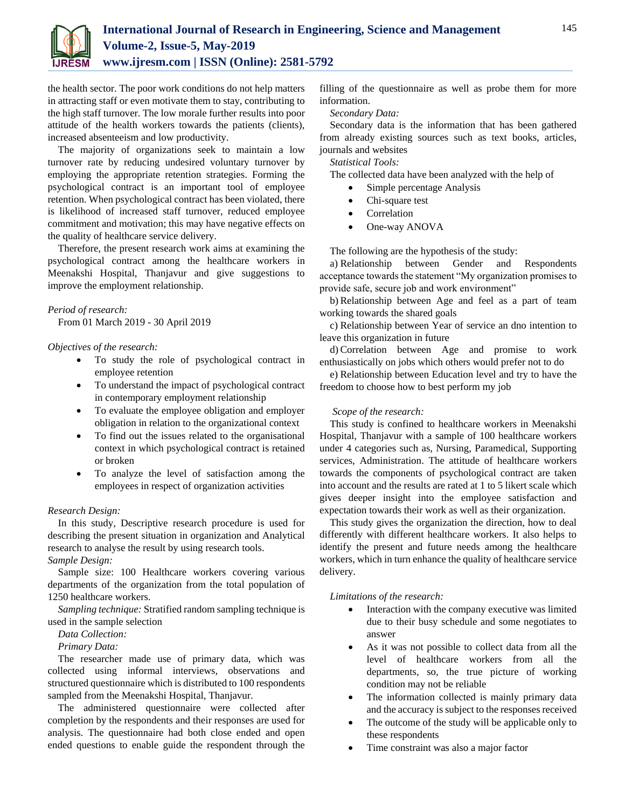

the health sector. The poor work conditions do not help matters in attracting staff or even motivate them to stay, contributing to the high staff turnover. The low morale further results into poor attitude of the health workers towards the patients (clients), increased absenteeism and low productivity.

The majority of organizations seek to maintain a low turnover rate by reducing undesired voluntary turnover by employing the appropriate retention strategies. Forming the psychological contract is an important tool of employee retention. When psychological contract has been violated, there is likelihood of increased staff turnover, reduced employee commitment and motivation; this may have negative effects on the quality of healthcare service delivery.

Therefore, the present research work aims at examining the psychological contract among the healthcare workers in Meenakshi Hospital, Thanjavur and give suggestions to improve the employment relationship.

## *Period of research:*

From 01 March 2019 - 30 April 2019

## *Objectives of the research:*

- To study the role of psychological contract in employee retention
- To understand the impact of psychological contract in contemporary employment relationship
- To evaluate the employee obligation and employer obligation in relation to the organizational context
- To find out the issues related to the organisational context in which psychological contract is retained or broken
- To analyze the level of satisfaction among the employees in respect of organization activities

#### *Research Design:*

In this study, Descriptive research procedure is used for describing the present situation in organization and Analytical research to analyse the result by using research tools. *Sample Design:*

Sample size: 100 Healthcare workers covering various departments of the organization from the total population of 1250 healthcare workers.

*Sampling technique:* Stratified random sampling technique is used in the sample selection

## *Data Collection:*

*Primary Data:*

The researcher made use of primary data, which was collected using informal interviews, observations and structured questionnaire which is distributed to 100 respondents sampled from the Meenakshi Hospital, Thanjavur.

The administered questionnaire were collected after completion by the respondents and their responses are used for analysis. The questionnaire had both close ended and open ended questions to enable guide the respondent through the filling of the questionnaire as well as probe them for more information.

*Secondary Data:*

Secondary data is the information that has been gathered from already existing sources such as text books, articles, journals and websites

*Statistical Tools:*

The collected data have been analyzed with the help of

- Simple percentage Analysis
- Chi-square test
- Correlation
- One-way ANOVA

The following are the hypothesis of the study:

a) Relationship between Gender and Respondents acceptance towards the statement "My organization promises to provide safe, secure job and work environment"

b) Relationship between Age and feel as a part of team working towards the shared goals

c) Relationship between Year of service an dno intention to leave this organization in future

d) Correlation between Age and promise to work enthusiastically on jobs which others would prefer not to do

e) Relationship between Education level and try to have the freedom to choose how to best perform my job

## *Scope of the research:*

This study is confined to healthcare workers in Meenakshi Hospital, Thanjavur with a sample of 100 healthcare workers under 4 categories such as, Nursing, Paramedical, Supporting services, Administration. The attitude of healthcare workers towards the components of psychological contract are taken into account and the results are rated at 1 to 5 likert scale which gives deeper insight into the employee satisfaction and expectation towards their work as well as their organization.

This study gives the organization the direction, how to deal differently with different healthcare workers. It also helps to identify the present and future needs among the healthcare workers, which in turn enhance the quality of healthcare service delivery.

#### *Limitations of the research:*

- Interaction with the company executive was limited due to their busy schedule and some negotiates to answer
- As it was not possible to collect data from all the level of healthcare workers from all the departments, so, the true picture of working condition may not be reliable
- The information collected is mainly primary data and the accuracy is subject to the responses received
- The outcome of the study will be applicable only to these respondents
- Time constraint was also a major factor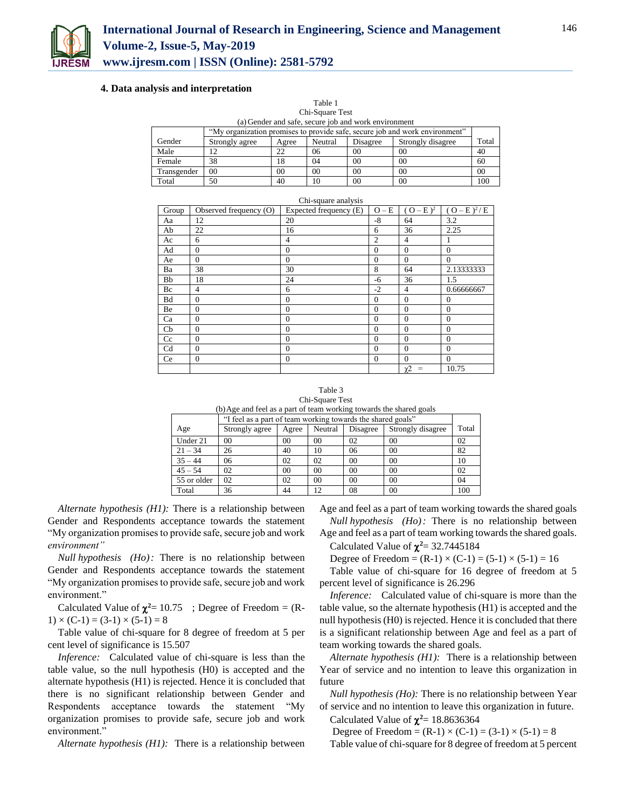

#### **4. Data analysis and interpretation**

| Table 1<br>Chi-Square Test                           |                                                                             |    |                |                |                |     |  |  |
|------------------------------------------------------|-----------------------------------------------------------------------------|----|----------------|----------------|----------------|-----|--|--|
| (a) Gender and safe, secure job and work environment |                                                                             |    |                |                |                |     |  |  |
|                                                      | "My organization promises to provide safe, secure job and work environment" |    |                |                |                |     |  |  |
| Gender                                               | Strongly disagree<br>Neutral<br>Disagree<br>Strongly agree<br>Agree         |    |                |                |                |     |  |  |
| Male                                                 |                                                                             | 22 | 06             | 00             | 00             | 40  |  |  |
| Female                                               | 38                                                                          | 18 | 04             | 0 <sup>0</sup> | 0 <sup>0</sup> | 60  |  |  |
| Transgender                                          | 00                                                                          | 00 | 0 <sup>0</sup> | 00             | 00             | 00  |  |  |
| Total                                                | 50                                                                          | 40 | 10             | 00             | 00             | 100 |  |  |

|                |                        | Chi-square analysis    |                |                            |                 |
|----------------|------------------------|------------------------|----------------|----------------------------|-----------------|
| Group          | Observed frequency (O) | Expected frequency (E) | $O - E$        | $(O - E)^2$                | $(O - E)^2 / E$ |
| Aa             | 12                     | 20                     | $-8$           | 64                         | 3.2             |
| Ab             | 22                     | 16                     | 6              | 36                         | 2.25            |
| Ac             | 6                      | 4                      | $\overline{2}$ | $\overline{4}$             |                 |
| Ad             | $\Omega$               | $\Omega$               | $\Omega$       | $\Omega$                   | $\Omega$        |
| Ae             | $\Omega$               | $\mathbf{0}$           | $\Omega$       | $\mathbf{0}$               | $\Omega$        |
| Ba             | 38                     | 30                     | 8              | 64                         | 2.13333333      |
| Bb             | 18                     | 24                     | -6             | 36                         | 1.5             |
| Bc             | $\overline{4}$         | 6                      | $-2$           | $\overline{4}$             | 0.66666667      |
| <b>Bd</b>      | $\theta$               | $\overline{0}$         | $\mathbf{0}$   | $\mathbf{0}$               | $\theta$        |
| Be             | $\Omega$               | $\overline{0}$         | $\theta$       | $\Omega$                   | $\Omega$        |
| Ca             | $\Omega$               | $\overline{0}$         | $\Omega$       | $\Omega$                   | $\Omega$        |
| Cb             | $\overline{0}$         | $\theta$               | $\mathbf{0}$   | $\mathbf{0}$               | $\mathbf{0}$    |
| Cc             | $\overline{0}$         | $\theta$               | $\mathbf{0}$   | $\mathbf{0}$               | $\theta$        |
| C <sub>d</sub> | $\Omega$               | $\Omega$               | $\Omega$       | $\Omega$                   | $\Omega$        |
| Ce             | $\overline{0}$         | $\overline{0}$         | $\mathbf{0}$   | $\mathbf{0}$               | $\Omega$        |
|                |                        |                        |                | $\chi$ <sub>2</sub><br>$=$ | 10.75           |

Table 3 Chi-Square Test

| (b) Age and feel as a part of team working towards the shared goals |
|---------------------------------------------------------------------|
|---------------------------------------------------------------------|

|             | "I feel as a part of team working towards the shared goals" |       |         |          |                   |       |  |  |
|-------------|-------------------------------------------------------------|-------|---------|----------|-------------------|-------|--|--|
| Age         | Strongly agree                                              | Agree | Neutral | Disagree | Strongly disagree | Total |  |  |
| Under 21    | 00                                                          | 00    | 00      | 02       | 00                | 02    |  |  |
| $21 - 34$   | 26                                                          | 40    | 10      | 06       | 00                | 82    |  |  |
| $35 - 44$   | 06                                                          | 02    | 02      | 00       | 00                | 10    |  |  |
| $45 - 54$   | 02                                                          | 00    | 00      | 00       | 00                | 02    |  |  |
| 55 or older | 02                                                          | 02    | 00      | 00       | 00                | 04    |  |  |
| Total       | 36                                                          | 44    | 12      | 08       | 00                | 100   |  |  |

*Alternate hypothesis (H1):* There is a relationship between Gender and Respondents acceptance towards the statement "My organization promises to provide safe, secure job and work *environment"*

*Null hypothesis (Ho):* There is no relationship between Gender and Respondents acceptance towards the statement "My organization promises to provide safe, secure job and work environment."

Calculated Value of  $\chi^2$  = 10.75 ; Degree of Freedom =  $(R$ - $1) \times (C-1) = (3-1) \times (5-1) = 8$ 

Table value of chi-square for 8 degree of freedom at 5 per cent level of significance is 15.507

*Inference:* Calculated value of chi-square is less than the table value, so the null hypothesis (H0) is accepted and the alternate hypothesis (H1) is rejected. Hence it is concluded that there is no significant relationship between Gender and Respondents acceptance towards the statement "My organization promises to provide safe, secure job and work environment."

*Alternate hypothesis (H1):* There is a relationship between

Age and feel as a part of team working towards the shared goals *Null hypothesis (Ho):* There is no relationship between

Age and feel as a part of team working towards the shared goals. Calculated Value of  $\chi^2$  = 32.7445184

Degree of Freedom =  $(R-1) \times (C-1) = (5-1) \times (5-1) = 16$ 

Table value of chi-square for 16 degree of freedom at 5 percent level of significance is 26.296

*Inference:* Calculated value of chi-square is more than the table value, so the alternate hypothesis (H1) is accepted and the null hypothesis (H0) is rejected. Hence it is concluded that there is a significant relationship between Age and feel as a part of team working towards the shared goals.

*Alternate hypothesis (H1):* There is a relationship between Year of service and no intention to leave this organization in future

*Null hypothesis (Ho):* There is no relationship between Year of service and no intention to leave this organization in future. Calculated Value of  $\chi^2$  = 18.8636364

Degree of Freedom =  $(R-1) \times (C-1) = (3-1) \times (5-1) = 8$ 

Table value of chi-square for 8 degree of freedom at 5 percent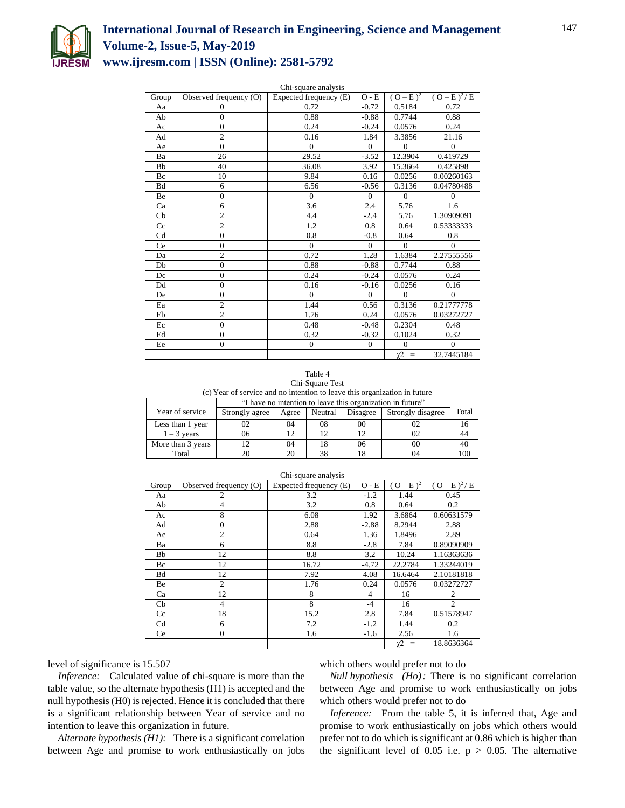

| Chi-square analysis |                        |                        |                             |                                          |                 |  |  |
|---------------------|------------------------|------------------------|-----------------------------|------------------------------------------|-----------------|--|--|
| Group               | Observed frequency (O) | Expected frequency (E) | $\mathrm{O}$ - $\mathrm{E}$ | $(O-E)^2$                                | $(O - E)^2 / E$ |  |  |
| Aa                  | $\mathbf{0}$           | 0.72                   | $-0.72$                     | 0.5184                                   | 0.72            |  |  |
| Ab                  | $\overline{0}$         | 0.88                   | $-0.88$                     | 0.7744                                   | 0.88            |  |  |
| Ac                  | $\mathbf{0}$           | 0.24                   | $-0.24$                     | 0.0576                                   | 0.24            |  |  |
| Ad                  | $\overline{c}$         | 0.16                   | 1.84                        | 3.3856                                   | 21.16           |  |  |
| Ae                  | $\overline{0}$         | $\Omega$               | $\mathbf{0}$                | $\Omega$                                 | $\Omega$        |  |  |
| Ba                  | 26                     | 29.52                  | $-3.52$                     | 12.3904                                  | 0.419729        |  |  |
| Bb                  | 40                     | 36.08                  | 3.92                        | 15.3664                                  | 0.425898        |  |  |
| Bc                  | 10                     | 9.84                   | 0.16                        | 0.0256                                   | 0.00260163      |  |  |
| Bd                  | 6                      | 6.56                   | $-0.56$                     | 0.3136                                   | 0.04780488      |  |  |
| <b>Be</b>           | $\overline{0}$         | $\Omega$               | $\Omega$                    | $\Omega$                                 | $\theta$        |  |  |
| Ca                  | 6                      | 3.6                    | 2.4                         | 5.76                                     | 1.6             |  |  |
| Cb                  | $\overline{c}$         | 4.4                    | $-2.4$                      | 5.76                                     | 1.30909091      |  |  |
| Cc                  | $\overline{c}$         | 1.2                    | 0.8                         | 0.64                                     | 0.53333333      |  |  |
| Cd                  | $\overline{0}$         | 0.8                    | $-0.8$                      | 0.64                                     | 0.8             |  |  |
| Ce                  | $\overline{0}$         | $\Omega$               | $\Omega$                    | $\theta$                                 | $\Omega$        |  |  |
| Da                  | $\overline{c}$         | 0.72                   | 1.28                        | 1.6384                                   | 2.27555556      |  |  |
| Db                  | $\overline{0}$         | 0.88                   | $-0.88$                     | 0.7744                                   | 0.88            |  |  |
| Dc                  | $\overline{0}$         | 0.24                   | $-0.24$                     | 0.0576                                   | 0.24            |  |  |
| Dd                  | $\mathbf{0}$           | 0.16                   | $-0.16$                     | 0.0256                                   | 0.16            |  |  |
| De                  | $\overline{0}$         | $\Omega$               | $\mathbf{0}$                | $\mathbf{0}$                             | $\Omega$        |  |  |
| Ea                  | $\overline{c}$         | 1.44                   | 0.56                        | 0.3136                                   | 0.21777778      |  |  |
| Eb                  | $\overline{c}$         | 1.76                   | 0.24                        | 0.0576                                   | 0.03272727      |  |  |
| Ec                  | $\overline{0}$         | 0.48                   | $-0.48$                     | 0.2304                                   | 0.48            |  |  |
| Ed                  | $\overline{0}$         | 0.32                   | $-0.32$                     | 0.1024                                   | 0.32            |  |  |
| Ee                  | $\overline{0}$         | $\overline{0}$         | $\overline{0}$              | $\mathbf{0}$                             | $\Omega$        |  |  |
|                     |                        |                        |                             | $\chi$ <sup>2</sup><br>$\qquad \qquad =$ | 32.7445184      |  |  |

Table 4 Chi-Square Test (c) Year of service and no intention to leave this organization in future

|                   |                | "I have no intention to leave this organization in future" |         |          |                   |       |  |  |
|-------------------|----------------|------------------------------------------------------------|---------|----------|-------------------|-------|--|--|
| Year of service   | Strongly agree | Agree                                                      | Neutral | Disagree | Strongly disagree | Total |  |  |
| Less than 1 year  |                | 04                                                         | 08      | 00       |                   | 10    |  |  |
| $1 - 3$ vears     | 06             |                                                            | 12      |          |                   |       |  |  |
| More than 3 years |                | 04                                                         | 18      | 06       | 00                | 40    |  |  |
| Total             |                | 20                                                         | 38      |          |                   | 00    |  |  |

| Group          | Observed frequency (O) | Expected frequency (E) | $O - E$        | $(O - E)^2$                                              | $(O - E)^2 / E$        |
|----------------|------------------------|------------------------|----------------|----------------------------------------------------------|------------------------|
| Aa             | 2                      | 3.2                    | $-1.2$         | 1.44                                                     | 0.45                   |
| Ab             | 4                      | 3.2                    | 0.8            | 0.64                                                     | 0.2                    |
| Ac             | 8                      | 6.08                   | 1.92           | 3.6864                                                   | 0.60631579             |
| Ad             | $\mathbf{0}$           | 2.88                   | $-2.88$        | 8.2944                                                   | 2.88                   |
| Ae             | $\overline{c}$         | 0.64                   | 1.36           | 1.8496                                                   | 2.89                   |
| Ba             | 6                      | 8.8                    | $-2.8$         | 7.84                                                     | 0.89090909             |
| Bb             | 12                     | 8.8                    | 3.2            | 10.24                                                    | 1.16363636             |
| Bc             | 12                     | 16.72                  | $-4.72$        | 22.2784                                                  | 1.33244019             |
| Bd             | 12                     | 7.92                   | 4.08           | 16.6464                                                  | 2.10181818             |
| Be             | 2                      | 1.76                   | 0.24           | 0.0576                                                   | 0.03272727             |
| Ca             | 12                     | 8                      | $\overline{4}$ | 16                                                       | 2                      |
| Cb             | 4                      | 8                      | $-4$           | 16                                                       | $\mathcal{D}_{\alpha}$ |
| Cc             | 18                     | 15.2                   | 2.8            | 7.84                                                     | 0.51578947             |
| C <sub>d</sub> | 6                      | 7.2                    | $-1.2$         | 1.44                                                     | 0.2                    |
| <b>Ce</b>      | $\mathbf{0}$           | 1.6                    | $-1.6$         | 2.56                                                     | 1.6                    |
|                |                        |                        |                | $\chi$ <sup>2</sup><br>$\hspace{1.0cm} = \hspace{1.0cm}$ | 18.8636364             |

Chi-square analysis

level of significance is 15.507

*Inference:* Calculated value of chi-square is more than the table value, so the alternate hypothesis (H1) is accepted and the null hypothesis (H0) is rejected. Hence it is concluded that there is a significant relationship between Year of service and no intention to leave this organization in future.

*Alternate hypothesis (H1):* There is a significant correlation between Age and promise to work enthusiastically on jobs which others would prefer not to do

*Null hypothesis (Ho):* There is no significant correlation between Age and promise to work enthusiastically on jobs which others would prefer not to do

*Inference:* From the table 5, it is inferred that, Age and promise to work enthusiastically on jobs which others would prefer not to do which is significant at 0.86 which is higher than the significant level of 0.05 i.e.  $p > 0.05$ . The alternative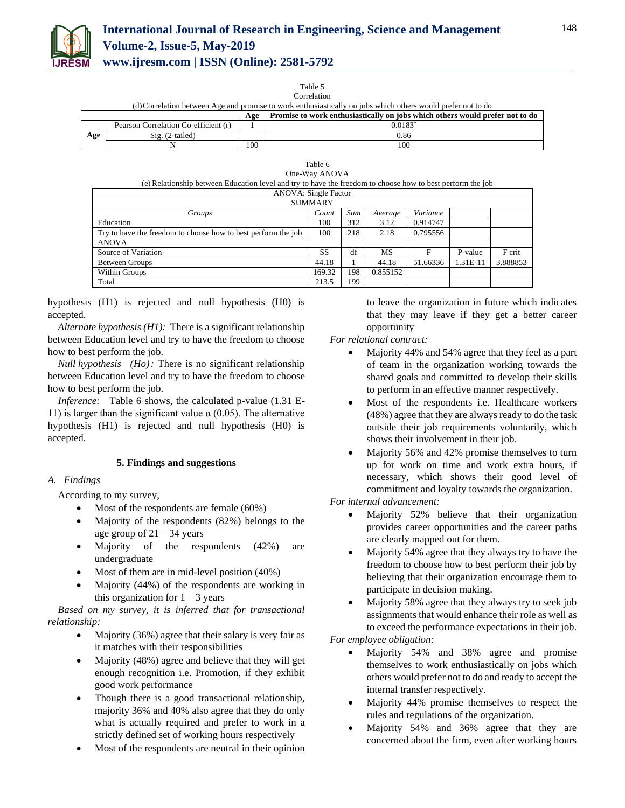

Table 5

|                                                                                                              | Correlation                          |     |                                                                              |  |  |  |  |
|--------------------------------------------------------------------------------------------------------------|--------------------------------------|-----|------------------------------------------------------------------------------|--|--|--|--|
| (d) Correlation between Age and promise to work enthusiastically on jobs which others would prefer not to do |                                      |     |                                                                              |  |  |  |  |
|                                                                                                              |                                      | Age | Promise to work enthusiastically on jobs which others would prefer not to do |  |  |  |  |
|                                                                                                              | Pearson Correlation Co-efficient (r) |     | $0.0183*$                                                                    |  |  |  |  |
| Age                                                                                                          | $Sig. (2-tailed)$                    |     | 0.86                                                                         |  |  |  |  |
|                                                                                                              |                                      | 100 | 100                                                                          |  |  |  |  |

|                                                                                                            | Table 6        |     |          |          |          |          |
|------------------------------------------------------------------------------------------------------------|----------------|-----|----------|----------|----------|----------|
|                                                                                                            | One-Way ANOVA  |     |          |          |          |          |
| (e) Relationship between Education level and try to have the freedom to choose how to best perform the job |                |     |          |          |          |          |
| <b>ANOVA: Single Factor</b>                                                                                |                |     |          |          |          |          |
|                                                                                                            | <b>SUMMARY</b> |     |          |          |          |          |
| Groups                                                                                                     | Count          | Sum | Average  | Variance |          |          |
| Education                                                                                                  | 100            | 312 | 3.12     | 0.914747 |          |          |
| Try to have the freedom to choose how to best perform the job                                              | 100            | 218 | 2.18     | 0.795556 |          |          |
| <b>ANOVA</b>                                                                                               |                |     |          |          |          |          |
| Source of Variation                                                                                        | SS             | df  | МS       | F        | P-value  | F crit   |
| Between Groups                                                                                             | 44.18          |     | 44.18    | 51.66336 | 1.31E-11 | 3.888853 |
| Within Groups                                                                                              | 169.32         | 198 | 0.855152 |          |          |          |

hypothesis (H1) is rejected and null hypothesis (H0) is accepted.

Total 213.5 199

*Alternate hypothesis (H1):* There is a significant relationship between Education level and try to have the freedom to choose how to best perform the job.

*Null hypothesis (Ho):* There is no significant relationship between Education level and try to have the freedom to choose how to best perform the job.

*Inference:* Table 6 shows, the calculated p-value (1.31 E-11) is larger than the significant value  $\alpha$  (0.05). The alternative hypothesis (H1) is rejected and null hypothesis (H0) is accepted.

# **5. Findings and suggestions**

# *A. Findings*

According to my survey,

- Most of the respondents are female (60%)
- Majority of the respondents (82%) belongs to the age group of  $21 - 34$  years
- Majority of the respondents (42%) are undergraduate
- Most of them are in mid-level position (40%)
- Majority (44%) of the respondents are working in this organization for  $1 - 3$  years

*Based on my survey, it is inferred that for transactional relationship:*

- Majority (36%) agree that their salary is very fair as it matches with their responsibilities
- Majority (48%) agree and believe that they will get enough recognition i.e. Promotion, if they exhibit good work performance
- Though there is a good transactional relationship, majority 36% and 40% also agree that they do only what is actually required and prefer to work in a strictly defined set of working hours respectively
- Most of the respondents are neutral in their opinion

to leave the organization in future which indicates that they may leave if they get a better career opportunity

*For relational contract:*

- Majority 44% and 54% agree that they feel as a part of team in the organization working towards the shared goals and committed to develop their skills to perform in an effective manner respectively.
- Most of the respondents i.e. Healthcare workers (48%) agree that they are always ready to do the task outside their job requirements voluntarily, which shows their involvement in their job.
- Majority 56% and 42% promise themselves to turn up for work on time and work extra hours, if necessary, which shows their good level of commitment and loyalty towards the organization.

*For internal advancement:*

- Majority 52% believe that their organization provides career opportunities and the career paths are clearly mapped out for them.
- Majority 54% agree that they always try to have the freedom to choose how to best perform their job by believing that their organization encourage them to participate in decision making.
- Majority 58% agree that they always try to seek job assignments that would enhance their role as well as to exceed the performance expectations in their job.

*For employee obligation:*

- Majority 54% and 38% agree and promise themselves to work enthusiastically on jobs which others would prefer not to do and ready to accept the internal transfer respectively.
- Majority 44% promise themselves to respect the rules and regulations of the organization.
- Majority 54% and 36% agree that they are concerned about the firm, even after working hours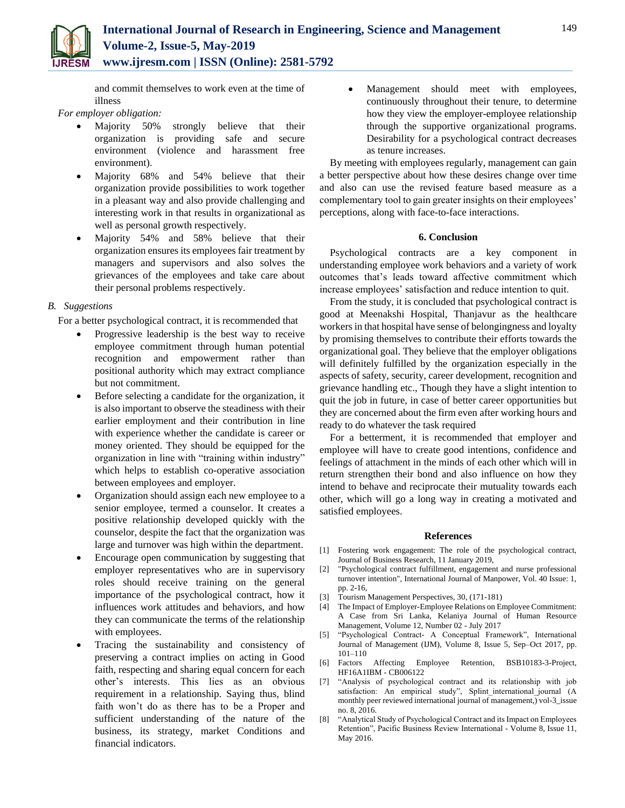and commit themselves to work even at the time of illness

## *For employer obligation:*

- Majority 50% strongly believe that their organization is providing safe and secure environment (violence and harassment free environment).
- Majority 68% and 54% believe that their organization provide possibilities to work together in a pleasant way and also provide challenging and interesting work in that results in organizational as well as personal growth respectively.
- Majority 54% and 58% believe that their organization ensures its employees fair treatment by managers and supervisors and also solves the grievances of the employees and take care about their personal problems respectively.

# *B. Suggestions*

For a better psychological contract, it is recommended that

- Progressive leadership is the best way to receive employee commitment through human potential recognition and empowerment rather than positional authority which may extract compliance but not commitment.
- Before selecting a candidate for the organization, it is also important to observe the steadiness with their earlier employment and their contribution in line with experience whether the candidate is career or money oriented. They should be equipped for the organization in line with "training within industry" which helps to establish co-operative association between employees and employer.
- Organization should assign each new employee to a senior employee, termed a counselor. It creates a positive relationship developed quickly with the counselor, despite the fact that the organization was large and turnover was high within the department.
- Encourage open communication by suggesting that employer representatives who are in supervisory roles should receive training on the general importance of the psychological contract, how it influences work attitudes and behaviors, and how they can communicate the terms of the relationship with employees.
- Tracing the sustainability and consistency of preserving a contract implies on acting in Good faith, respecting and sharing equal concern for each other's interests. This lies as an obvious requirement in a relationship. Saying thus, blind faith won't do as there has to be a Proper and sufficient understanding of the nature of the business, its strategy, market Conditions and financial indicators.

 Management should meet with employees, continuously throughout their tenure, to determine how they view the employer-employee relationship through the supportive organizational programs. Desirability for a psychological contract decreases as tenure increases.

By meeting with employees regularly, management can gain a better perspective about how these desires change over time and also can use the revised feature based measure as a complementary tool to gain greater insights on their employees' perceptions, along with face-to-face interactions.

## **6. Conclusion**

Psychological contracts are a key component in understanding employee work behaviors and a variety of work outcomes that's leads toward affective commitment which increase employees' satisfaction and reduce intention to quit.

From the study, it is concluded that psychological contract is good at Meenakshi Hospital, Thanjavur as the healthcare workers in that hospital have sense of belongingness and loyalty by promising themselves to contribute their efforts towards the organizational goal. They believe that the employer obligations will definitely fulfilled by the organization especially in the aspects of safety, security, career development, recognition and grievance handling etc., Though they have a slight intention to quit the job in future, in case of better career opportunities but they are concerned about the firm even after working hours and ready to do whatever the task required

For a betterment, it is recommended that employer and employee will have to create good intentions, confidence and feelings of attachment in the minds of each other which will in return strengthen their bond and also influence on how they intend to behave and reciprocate their mutuality towards each other, which will go a long way in creating a motivated and satisfied employees.

## **References**

- [1] Fostering work engagement: The role of the psychological contract, Journal of Business Research, 11 January 2019,
- [2] "Psychological contract fulfillment, engagement and nurse professional turnover intention", International Journal of Manpower, Vol. 40 Issue: 1, pp. 2-16,
- [3] Tourism Management Perspectives, 30, (171-181)
- [4] The Impact of Employer-Employee Relations on Employee Commitment: A Case from Sri Lanka, Kelaniya Journal of Human Resource Management, Volume 12, Number 02 - July 2017
- [5] "Psychological Contract- A Conceptual Framework", International Journal of Management (IJM), Volume 8, Issue 5, Sep–Oct 2017, pp. 101–110
- [6] Factors Affecting Employee Retention, BSB10183-3-Project, HF16A1IBM - CB006122
- [7] "Analysis of psychological contract and its relationship with job satisfaction: An empirical study", Splint\_international\_journal (A monthly peer reviewed international journal of management,) vol-3\_issue no. 8, 2016.
- [8] "Analytical Study of Psychological Contract and its Impact on Employees Retention", Pacific Business Review International - Volume 8, Issue 11, May 2016.